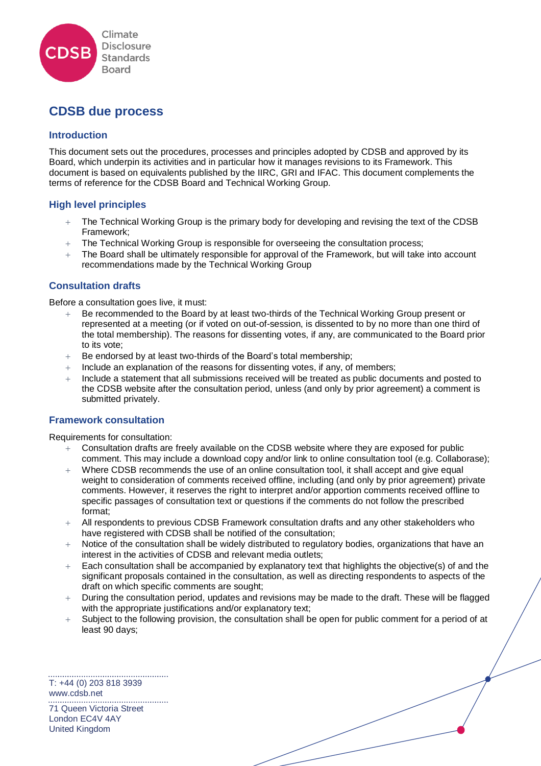

# **CDSB due process**

## **Introduction**

This document sets out the procedures, processes and principles adopted by CDSB and approved by its Board, which underpin its activities and in particular how it manages revisions to its Framework. This document is based on equivalents published by the IIRC, GRI and IFAC. This document complements the terms of reference for the CDSB Board and Technical Working Group.

## **High level principles**

- The Technical Working Group is the primary body for developing and revising the text of the CDSB Framework;
- + The Technical Working Group is responsible for overseeing the consultation process;
- The Board shall be ultimately responsible for approval of the Framework, but will take into account recommendations made by the Technical Working Group

## **Consultation drafts**

Before a consultation goes live, it must:

- Be recommended to the Board by at least two-thirds of the Technical Working Group present or represented at a meeting (or if voted on out-of-session, is dissented to by no more than one third of the total membership). The reasons for dissenting votes, if any, are communicated to the Board prior to its vote;
- $+$  Be endorsed by at least two-thirds of the Board's total membership;
- Include an explanation of the reasons for dissenting votes, if any, of members;
- Include a statement that all submissions received will be treated as public documents and posted to the CDSB website after the consultation period, unless (and only by prior agreement) a comment is submitted privately.

#### **Framework consultation**

Requirements for consultation:

- $+$  Consultation drafts are freely available on the CDSB website where they are exposed for public comment. This may include a download copy and/or link to online consultation tool (e.g. Collaborase);
- $+$  Where CDSB recommends the use of an online consultation tool, it shall accept and give equal weight to consideration of comments received offline, including (and only by prior agreement) private comments. However, it reserves the right to interpret and/or apportion comments received offline to specific passages of consultation text or questions if the comments do not follow the prescribed format;
- $+$  All respondents to previous CDSB Framework consultation drafts and any other stakeholders who have registered with CDSB shall be notified of the consultation;
- Notice of the consultation shall be widely distributed to regulatory bodies, organizations that have an interest in the activities of CDSB and relevant media outlets;
- $+$  Each consultation shall be accompanied by explanatory text that highlights the objective(s) of and the significant proposals contained in the consultation, as well as directing respondents to aspects of the draft on which specific comments are sought;
- During the consultation period, updates and revisions may be made to the draft. These will be flagged with the appropriate justifications and/or explanatory text;
- Subject to the following provision, the consultation shall be open for public comment for a period of at least 90 days;

T: +44 (0) 203 818 3939 [www.cdsb.net](http://www.cdsb.net/) . . . . . . . . . . 71 Queen Victoria Street London EC4V 4AY United Kingdom